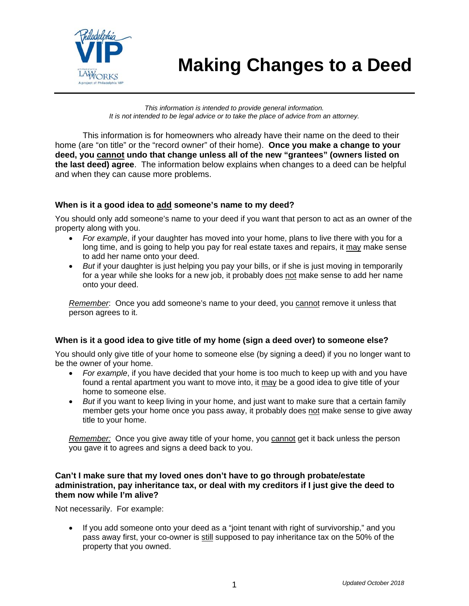

# **Making Changes to a Deed AWORKS**

*This information is intended to provide general information. It is not intended to be legal advice or to take the place of advice from an attorney.* 

This information is for homeowners who already have their name on the deed to their home (are "on title" or the "record owner" of their home). **Once you make a change to your deed, you cannot undo that change unless all of the new "grantees" (owners listed on the last deed) agree**. The information below explains when changes to a deed can be helpful and when they can cause more problems.

### **When is it a good idea to add someone's name to my deed?**

You should only add someone's name to your deed if you want that person to act as an owner of the property along with you.

- *For example*, if your daughter has moved into your home, plans to live there with you for a long time, and is going to help you pay for real estate taxes and repairs, it may make sense to add her name onto your deed.
- *But* if your daughter is just helping you pay your bills, or if she is just moving in temporarily for a year while she looks for a new job, it probably does not make sense to add her name onto your deed.

*Remember*: Once you add someone's name to your deed, you cannot remove it unless that person agrees to it.

#### **When is it a good idea to give title of my home (sign a deed over) to someone else?**

You should only give title of your home to someone else (by signing a deed) if you no longer want to be the owner of your home.

- *For example*, if you have decided that your home is too much to keep up with and you have found a rental apartment you want to move into, it may be a good idea to give title of your home to someone else.
- *But* if you want to keep living in your home, and just want to make sure that a certain family member gets your home once you pass away, it probably does not make sense to give away title to your home.

*Remember:* Once you give away title of your home, you cannot get it back unless the person you gave it to agrees and signs a deed back to you.

#### **Can't I make sure that my loved ones don't have to go through probate/estate administration, pay inheritance tax, or deal with my creditors if I just give the deed to them now while I'm alive?**

Not necessarily. For example:

• If you add someone onto your deed as a "joint tenant with right of survivorship," and you pass away first, your co-owner is still supposed to pay inheritance tax on the 50% of the property that you owned.